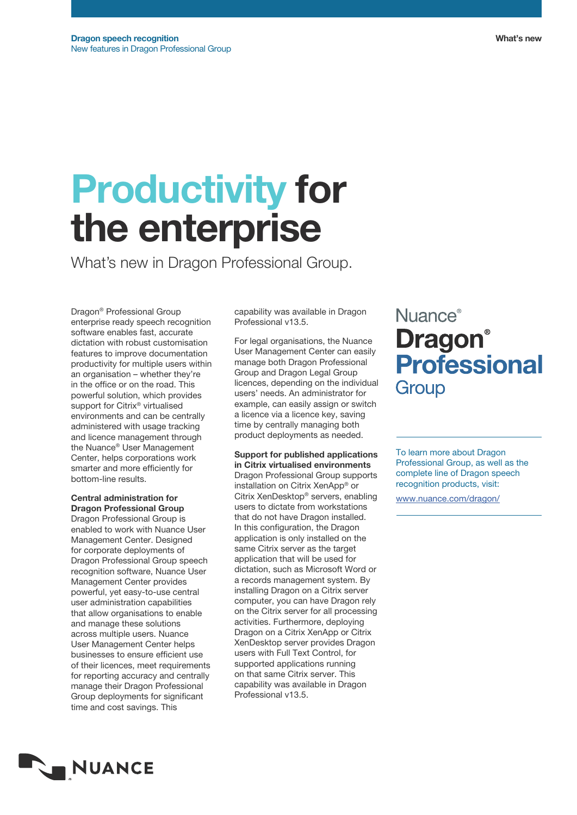# Productivity for the enterprise

What's new in Dragon Professional Group.

Dragon® Professional Group enterprise ready speech recognition software enables fast, accurate dictation with robust customisation features to improve documentation productivity for multiple users within an organisation – whether they're in the office or on the road. This powerful solution, which provides support for Citrix® virtualised environments and can be centrally administered with usage tracking and licence management through the Nuance® User Management Center, helps corporations work smarter and more efficiently for bottom-line results.

Central administration for Dragon Professional Group

Dragon Professional Group is enabled to work with Nuance User Management Center. Designed for corporate deployments of Dragon Professional Group speech recognition software, Nuance User Management Center provides powerful, yet easy-to-use central user administration capabilities that allow organisations to enable and manage these solutions across multiple users. Nuance User Management Center helps businesses to ensure efficient use of their licences, meet requirements for reporting accuracy and centrally manage their Dragon Professional Group deployments for significant time and cost savings. This

capability was available in Dragon Professional v13.5.

For legal organisations, the Nuance User Management Center can easily manage both Dragon Professional Group and Dragon Legal Group licences, depending on the individual users' needs. An administrator for example, can easily assign or switch a licence via a licence key, saving time by centrally managing both product deployments as needed.

Support for published applications in Citrix virtualised environments Dragon Professional Group supports installation on Citrix XenApp® or Citrix XenDesktop® servers, enabling users to dictate from workstations that do not have Dragon installed. In this configuration, the Dragon application is only installed on the same Citrix server as the target application that will be used for dictation, such as Microsoft Word or a records management system. By installing Dragon on a Citrix server computer, you can have Dragon rely on the Citrix server for all processing activities. Furthermore, deploying Dragon on a Citrix XenApp or Citrix XenDesktop server provides Dragon users with Full Text Control, for supported applications running on that same Citrix server. This capability was available in Dragon Professional v13.5.

## Nuance<sup>®</sup> **Dragon**<sup>®</sup> **Professional** Group

To learn more about Dragon Professional Group, as well as the complete line of Dragon speech recognition products, visit:

www.nuance.com/dragon/